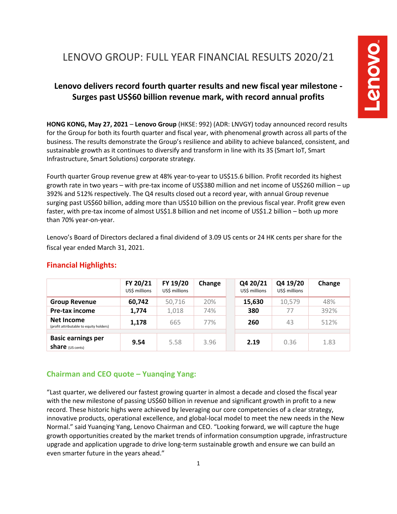# LENOVO GROUP: FULL YEAR FINANCIAL RESULTS 2020/21

# **Lenovo delivers record fourth quarter results and new fiscal year milestone - Surges past US\$60 billion revenue mark, with record annual profits**

**HONG KONG, May 27, 2021** – **Lenovo Group** (HKSE: 992) (ADR: LNVGY) today announced record results for the Group for both its fourth quarter and fiscal year, with phenomenal growth across all parts of the business. The results demonstrate the Group's resilience and ability to achieve balanced, consistent, and sustainable growth as it continues to diversify and transform in line with its 3S (Smart IoT, Smart Infrastructure, Smart Solutions) corporate strategy.

Fourth quarter Group revenue grew at 48% year-to-year to US\$15.6 billion. Profit recorded its highest growth rate in two years – with pre-tax income of US\$380 million and net income of US\$260 million – up 392% and 512% respectively. The Q4 results closed out a record year, with annual Group revenue surging past US\$60 billion, adding more than US\$10 billion on the previous fiscal year. Profit grew even faster, with pre-tax income of almost US\$1.8 billion and net income of US\$1.2 billion – both up more than 70% year-on-year.

Lenovo's Board of Directors declared a final dividend of 3.09 US cents or 24 HK cents per share for the fiscal year ended March 31, 2021.

|                                                       | FY 20/21<br>US\$ millions | FY 19/20<br>US\$ millions | Change | Q4 20/21<br>US\$ millions | Q4 19/20<br>US\$ millions | Change |
|-------------------------------------------------------|---------------------------|---------------------------|--------|---------------------------|---------------------------|--------|
| <b>Group Revenue</b>                                  | 60,742                    | 50,716                    | 20%    | 15,630                    | 10,579                    | 48%    |
| Pre-tax income                                        | 1,774                     | 1,018                     | 74%    | 380                       | 77                        | 392%   |
| Net Income<br>(profit attributable to equity holders) | 1,178                     | 665                       | 77%    | 260                       | 43                        | 512%   |
| <b>Basic earnings per</b>                             |                           |                           |        |                           |                           |        |
| <b>share</b> (US cents)                               | 9.54                      | 5.58                      | 3.96   | 2.19                      | 0.36                      | 1.83   |

### **Financial Highlights:**

### **Chairman and CEO quote – Yuanqing Yang:**

"Last quarter, we delivered our fastest growing quarter in almost a decade and closed the fiscal year with the new milestone of passing US\$60 billion in revenue and significant growth in profit to a new record. These historic highs were achieved by leveraging our core competencies of a clear strategy, innovative products, operational excellence, and global-local model to meet the new needs in the New Normal." said Yuanqing Yang, Lenovo Chairman and CEO. "Looking forward, we will capture the huge growth opportunities created by the market trends of information consumption upgrade, infrastructure upgrade and application upgrade to drive long-term sustainable growth and ensure we can build an even smarter future in the years ahead."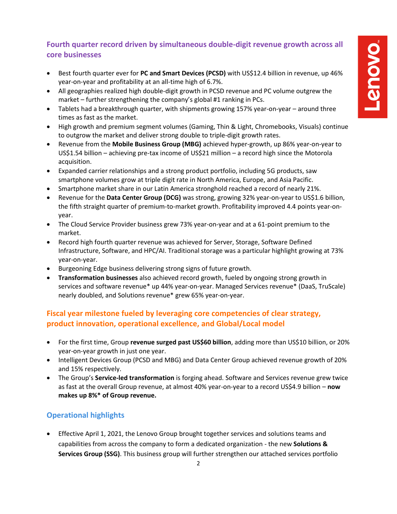# **Fourth quarter record driven by simultaneous double-digit revenue growth across all core businesses**

- Best fourth quarter ever for **PC and Smart Devices (PCSD)** with US\$12.4 billion in revenue, up 46% year-on-year and profitability at an all-time high of 6.7%.
- All geographies realized high double-digit growth in PCSD revenue and PC volume outgrew the market – further strengthening the company's global #1 ranking in PCs.
- Tablets had a breakthrough quarter, with shipments growing 157% year-on-year around three times as fast as the market.
- High growth and premium segment volumes (Gaming, Thin & Light, Chromebooks, Visuals) continue to outgrow the market and deliver strong double to triple-digit growth rates.
- Revenue from the **Mobile Business Group (MBG)** achieved hyper-growth, up 86% year-on-year to US\$1.54 billion – achieving pre-tax income of US\$21 million – a record high since the Motorola acquisition.
- Expanded carrier relationships and a strong product portfolio, including 5G products, saw smartphone volumes grow at triple digit rate in North America, Europe, and Asia Pacific.
- Smartphone market share in our Latin America stronghold reached a record of nearly 21%.
- Revenue for the **Data Center Group (DCG)** was strong, growing 32% year-on-year to US\$1.6 billion, the fifth straight quarter of premium-to-market growth. Profitability improved 4.4 points year-onyear.
- The Cloud Service Provider business grew 73% year-on-year and at a 61-point premium to the market.
- Record high fourth quarter revenue was achieved for Server, Storage, Software Defined Infrastructure, Software, and HPC/AI. Traditional storage was a particular highlight growing at 73% year-on-year.
- Burgeoning Edge business delivering strong signs of future growth.
- **Transformation businesses** also achieved record growth, fueled by ongoing strong growth in services and software revenue\* up 44% year-on-year. Managed Services revenue\* (DaaS, TruScale) nearly doubled, and Solutions revenue\* grew 65% year-on-year.

## **Fiscal year milestone fueled by leveraging core competencies of clear strategy, product innovation, operational excellence, and Global/Local model**

- For the first time, Group **revenue surged past US\$60 billion**, adding more than US\$10 billion, or 20% year-on-year growth in just one year.
- Intelligent Devices Group (PCSD and MBG) and Data Center Group achieved revenue growth of 20% and 15% respectively.
- The Group's **Service-led transformation** is forging ahead. Software and Services revenue grew twice as fast at the overall Group revenue, at almost 40% year-on-year to a record US\$4.9 billion – **now makes up 8%\* of Group revenue.**

## **Operational highlights**

• Effective April 1, 2021, the Lenovo Group brought together services and solutions teams and capabilities from across the company to form a dedicated organization - the new **Solutions & Services Group (SSG)**. This business group will further strengthen our attached services portfolio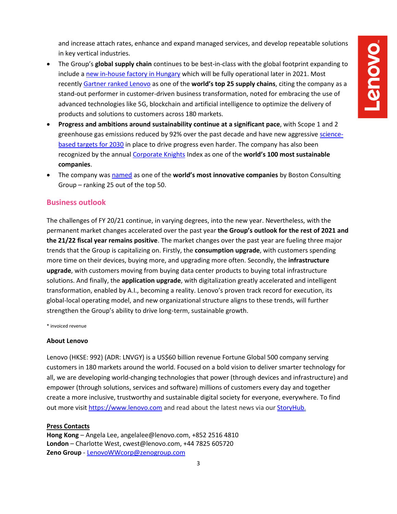and increase attach rates, enhance and expand managed services, and develop repeatable solutions in key vertical industries.

- The Group's **global supply chain** continues to be best-in-class with the global footprint expanding to include [a new in-house factory](https://news.lenovo.com/pressroom/press-releases/lenovo-expands-global-manufacturing-portfolio-with-new-inhouse-manufacturing-facility-in-hungary/) in Hungary which will be fully operational later in 2021. Most recently [Gartner ranked Lenovo](https://news.lenovo.com/pressroom/press-releases/lenovo-ranked-16-in-gartners-2021-top-25-global-supply-chain/) as one of the **world's top 25 supply chains**, citing the company as a stand-out performer in customer-driven business transformation, noted for embracing the use of advanced technologies like 5G, blockchain and artificial intelligence to optimize the delivery of products and solutions to customers across 180 markets.
- **Progress and ambitions around sustainability continue at a significant pace**, with Scope 1 and 2 greenhouse gas emissions reduced by 92% over the past decade and have new aggressive [science](https://news.lenovo.com/pressroom/press-releases/new-ambitious-science-based-esg-targets-10-year-sustainability-milestones/)based [targets for 2030](https://news.lenovo.com/pressroom/press-releases/new-ambitious-science-based-esg-targets-10-year-sustainability-milestones/) in place to drive progress even harder. The company has also been recognized by the annual [Corporate Knights](https://news.lenovo.com/pressroom/press-releases/lenovo-increases-sustainability-ranking-on-corporate-knights-global-100-assessment/) Index as one of the **world's 100 most sustainable companies**.
- The company wa[s named](https://news.lenovo.com/top-50-most-innovative-company-by-boston-consulting-group-innovation-led-strategy/) as one of the **world's most innovative companies** by Boston Consulting Group – ranking 25 out of the top 50.

#### **Business outlook**

The challenges of FY 20/21 continue, in varying degrees, into the new year. Nevertheless, with the permanent market changes accelerated over the past year **the Group's outlook for the rest of 2021 and the 21/22 fiscal year remains positive**. The market changes over the past year are fueling three major trends that the Group is capitalizing on. Firstly, the **consumption upgrade**, with customers spending more time on their devices, buying more, and upgrading more often. Secondly, the **infrastructure upgrade**, with customers moving from buying data center products to buying total infrastructure solutions. And finally, the **application upgrade**, with digitalization greatly accelerated and intelligent transformation, enabled by A.I., becoming a reality. Lenovo's proven track record for execution, its global-local operating model, and new organizational structure aligns to these trends, will further strengthen the Group's ability to drive long-term, sustainable growth.

\* invoiced revenue

#### **About Lenovo**

Lenovo (HKSE: 992) (ADR: LNVGY) is a US\$60 billion revenue Fortune Global 500 company serving customers in 180 markets around the world. Focused on a bold vision to deliver smarter technology for all, we are developing world-changing technologies that power (through devices and infrastructure) and empower (through solutions, services and software) millions of customers every day and together create a more inclusive, trustworthy and sustainable digital society for everyone, everywhere. To find out more visi[t https://www.lenovo.com](https://www.lenovo.com/) and read about the latest news via our [StoryHub.](http://storyhub.lenovo.com/)

#### **Press Contacts**

**Hong Kong** – Angela Lee, angelalee@lenovo.com, +852 2516 4810 **London** – Charlotte West, cwest@lenovo.com, +44 7825 605720 **Zeno Group** - [LenovoWWcorp@zenogroup.com](mailto:LenovoWWcorp@zenogroup.com)